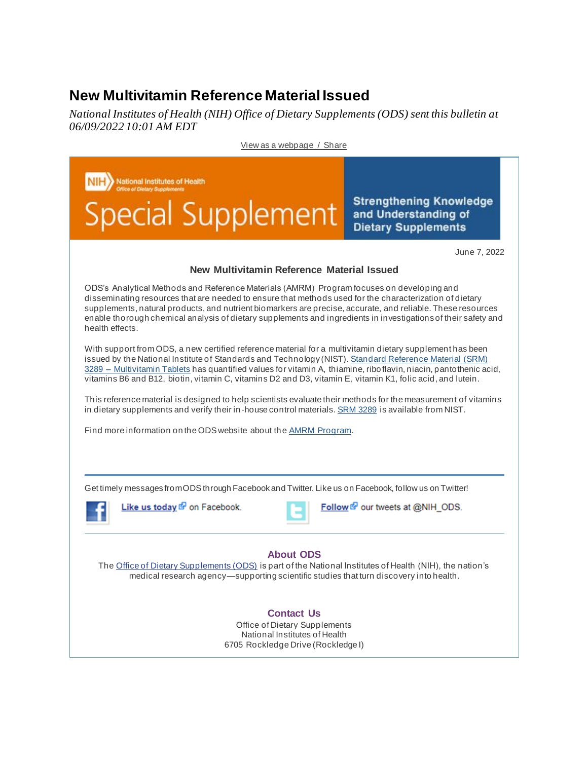## **New Multivitamin Reference Material Issued**

*National Institutes of Health (NIH) Office of Dietary Supplements (ODS) sent this bulletin at 06/09/2022 10:01 AM EDT*



[View as a webpage](https://content.govdelivery.com/accounts/USNIHODS/bulletins/31b2527) / Share